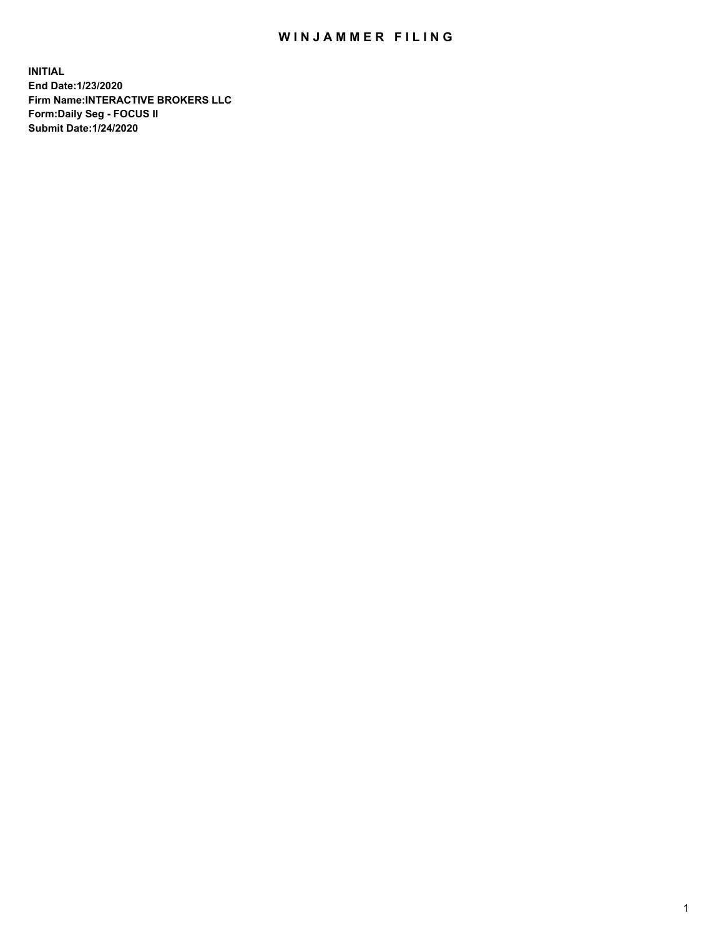## WIN JAMMER FILING

**INITIAL End Date:1/23/2020 Firm Name:INTERACTIVE BROKERS LLC Form:Daily Seg - FOCUS II Submit Date:1/24/2020**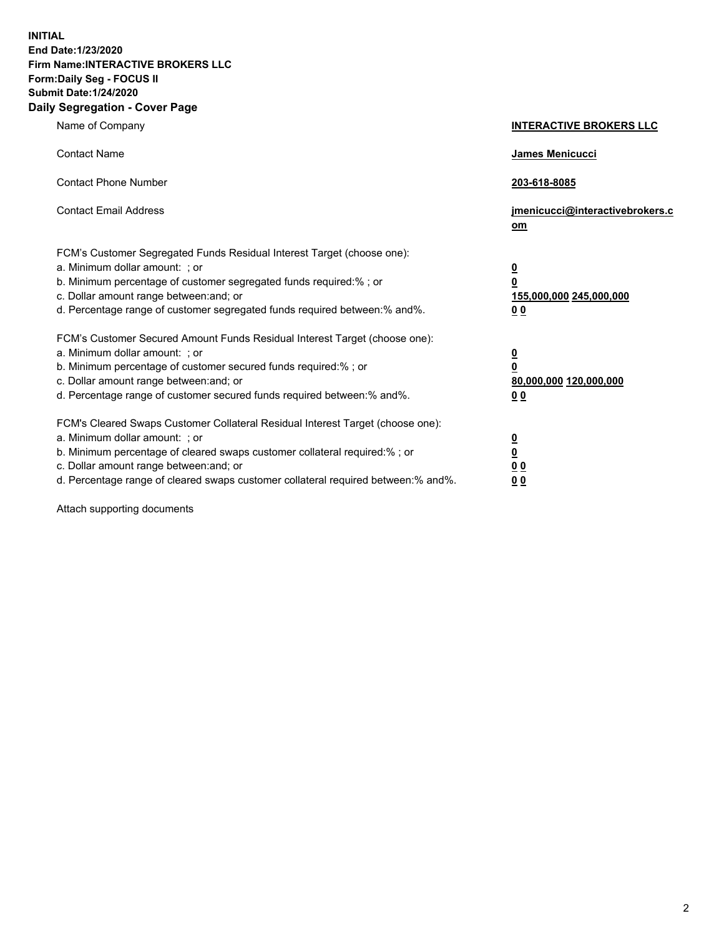**INITIAL End Date:1/23/2020 Firm Name:INTERACTIVE BROKERS LLC Form:Daily Seg - FOCUS II Submit Date:1/24/2020 Daily Segregation - Cover Page**

| Name of Company                                                                                                                                                                                                                                                                                                                 | <b>INTERACTIVE BROKERS LLC</b>                                                   |
|---------------------------------------------------------------------------------------------------------------------------------------------------------------------------------------------------------------------------------------------------------------------------------------------------------------------------------|----------------------------------------------------------------------------------|
| <b>Contact Name</b>                                                                                                                                                                                                                                                                                                             | <b>James Menicucci</b>                                                           |
| <b>Contact Phone Number</b>                                                                                                                                                                                                                                                                                                     | 203-618-8085                                                                     |
| <b>Contact Email Address</b>                                                                                                                                                                                                                                                                                                    | jmenicucci@interactivebrokers.c<br>om                                            |
| FCM's Customer Segregated Funds Residual Interest Target (choose one):<br>a. Minimum dollar amount: ; or<br>b. Minimum percentage of customer segregated funds required:% ; or<br>c. Dollar amount range between: and; or<br>d. Percentage range of customer segregated funds required between:% and%.                          | <u>0</u><br>$\overline{\mathbf{0}}$<br>155,000,000 245,000,000<br>0 <sub>0</sub> |
| FCM's Customer Secured Amount Funds Residual Interest Target (choose one):<br>a. Minimum dollar amount: ; or<br>b. Minimum percentage of customer secured funds required:%; or<br>c. Dollar amount range between: and; or<br>d. Percentage range of customer secured funds required between:% and%.                             | <u>0</u><br>$\overline{\mathbf{0}}$<br>80,000,000 120,000,000<br>0 <sub>0</sub>  |
| FCM's Cleared Swaps Customer Collateral Residual Interest Target (choose one):<br>a. Minimum dollar amount: ; or<br>b. Minimum percentage of cleared swaps customer collateral required:%; or<br>c. Dollar amount range between: and; or<br>d. Percentage range of cleared swaps customer collateral required between: % and %. | <u>0</u><br>$\underline{\mathbf{0}}$<br>0 <sub>0</sub><br>0 <sub>0</sub>         |

Attach supporting documents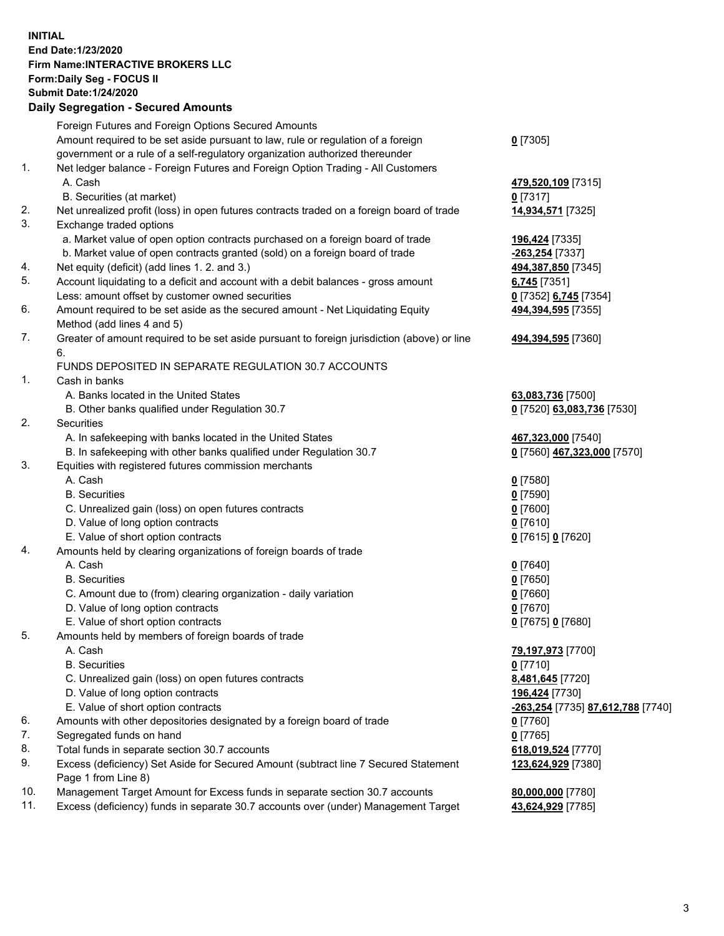**INITIAL End Date:1/23/2020 Firm Name:INTERACTIVE BROKERS LLC Form:Daily Seg - FOCUS II Submit Date:1/24/2020 Daily Segregation - Secured Amounts**

## Foreign Futures and Foreign Options Secured Amounts Amount required to be set aside pursuant to law, rule or regulation of a foreign government or a rule of a self-regulatory organization authorized thereunder **0** [7305] 1. Net ledger balance - Foreign Futures and Foreign Option Trading - All Customers A. Cash **479,520,109** [7315] B. Securities (at market) **0** [7317] 2. Net unrealized profit (loss) in open futures contracts traded on a foreign board of trade **14,934,571** [7325] 3. Exchange traded options a. Market value of open option contracts purchased on a foreign board of trade **196,424** [7335] b. Market value of open contracts granted (sold) on a foreign board of trade **-263,254** [7337] 4. Net equity (deficit) (add lines 1. 2. and 3.) **494,387,850** [7345] 5. Account liquidating to a deficit and account with a debit balances - gross amount **6,745** [7351] Less: amount offset by customer owned securities **0** [7352] **6,745** [7354] 6. Amount required to be set aside as the secured amount - Net Liquidating Equity Method (add lines 4 and 5) **494,394,595** [7355] 7. Greater of amount required to be set aside pursuant to foreign jurisdiction (above) or line 6. **494,394,595** [7360] FUNDS DEPOSITED IN SEPARATE REGULATION 30.7 ACCOUNTS 1. Cash in banks A. Banks located in the United States **63,083,736** [7500] B. Other banks qualified under Regulation 30.7 **0** [7520] **63,083,736** [7530] 2. Securities A. In safekeeping with banks located in the United States **467,323,000** [7540] B. In safekeeping with other banks qualified under Regulation 30.7 **0** [7560] **467,323,000** [7570] 3. Equities with registered futures commission merchants A. Cash **0** [7580] B. Securities **0** [7590] C. Unrealized gain (loss) on open futures contracts **0** [7600] D. Value of long option contracts **0** [7610] E. Value of short option contracts **0** [7615] **0** [7620] 4. Amounts held by clearing organizations of foreign boards of trade A. Cash **0** [7640] B. Securities **0** [7650] C. Amount due to (from) clearing organization - daily variation **0** [7660] D. Value of long option contracts **0** [7670] E. Value of short option contracts **0** [7675] **0** [7680] 5. Amounts held by members of foreign boards of trade A. Cash **79,197,973** [7700] B. Securities **0** [7710] C. Unrealized gain (loss) on open futures contracts **8,481,645** [7720] D. Value of long option contracts **196,424** [7730] E. Value of short option contracts **-263,254** [7735] **87,612,788** [7740] 6. Amounts with other depositories designated by a foreign board of trade **0** [7760] 7. Segregated funds on hand **0** [7765] 8. Total funds in separate section 30.7 accounts **618,019,524** [7770] 9. Excess (deficiency) Set Aside for Secured Amount (subtract line 7 Secured Statement Page 1 from Line 8) **123,624,929** [7380] 10. Management Target Amount for Excess funds in separate section 30.7 accounts **80,000,000** [7780] 11. Excess (deficiency) funds in separate 30.7 accounts over (under) Management Target **43,624,929** [7785]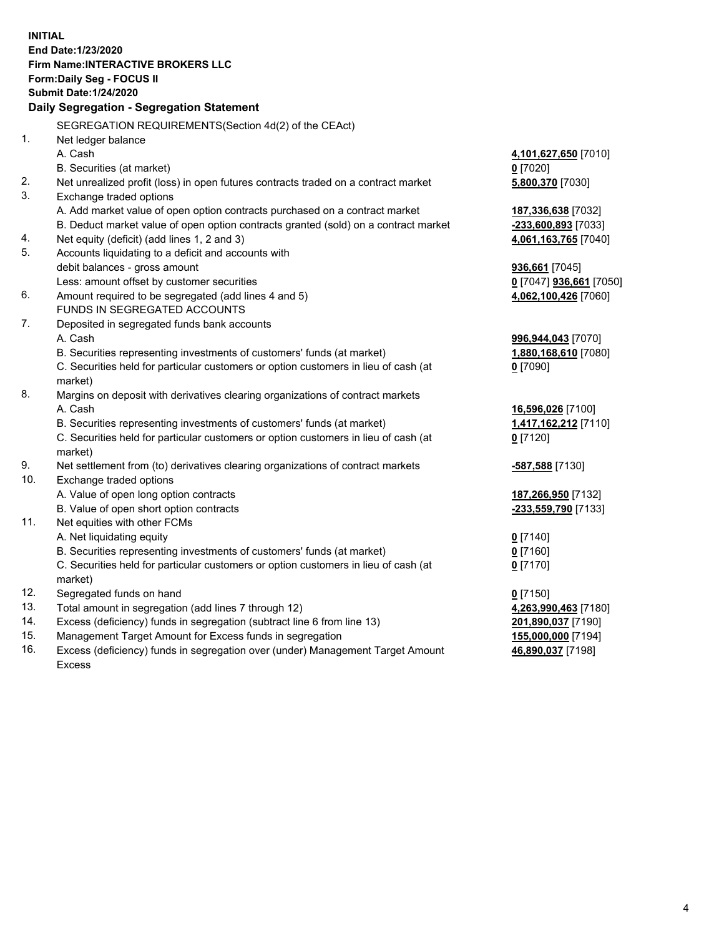**INITIAL End Date:1/23/2020 Firm Name:INTERACTIVE BROKERS LLC Form:Daily Seg - FOCUS II Submit Date:1/24/2020 Daily Segregation - Segregation Statement** SEGREGATION REQUIREMENTS(Section 4d(2) of the CEAct) 1. Net ledger balance A. Cash **4,101,627,650** [7010] B. Securities (at market) **0** [7020] 2. Net unrealized profit (loss) in open futures contracts traded on a contract market **5,800,370** [7030] 3. Exchange traded options A. Add market value of open option contracts purchased on a contract market **187,336,638** [7032] B. Deduct market value of open option contracts granted (sold) on a contract market **-233,600,893** [7033] 4. Net equity (deficit) (add lines 1, 2 and 3) **4,061,163,765** [7040] 5. Accounts liquidating to a deficit and accounts with debit balances - gross amount **936,661** [7045] Less: amount offset by customer securities **0** [7047] **936,661** [7050] 6. Amount required to be segregated (add lines 4 and 5) **4,062,100,426** [7060] FUNDS IN SEGREGATED ACCOUNTS 7. Deposited in segregated funds bank accounts A. Cash **996,944,043** [7070] B. Securities representing investments of customers' funds (at market) **1,880,168,610** [7080] C. Securities held for particular customers or option customers in lieu of cash (at market) **0** [7090] 8. Margins on deposit with derivatives clearing organizations of contract markets A. Cash **16,596,026** [7100] B. Securities representing investments of customers' funds (at market) **1,417,162,212** [7110] C. Securities held for particular customers or option customers in lieu of cash (at market) **0** [7120] 9. Net settlement from (to) derivatives clearing organizations of contract markets **-587,588** [7130] 10. Exchange traded options A. Value of open long option contracts **187,266,950** [7132] B. Value of open short option contracts **-233,559,790** [7133] 11. Net equities with other FCMs A. Net liquidating equity **0** [7140] B. Securities representing investments of customers' funds (at market) **0** [7160] C. Securities held for particular customers or option customers in lieu of cash (at market) **0** [7170] 12. Segregated funds on hand **0** [7150] 13. Total amount in segregation (add lines 7 through 12) **4,263,990,463** [7180] 14. Excess (deficiency) funds in segregation (subtract line 6 from line 13) **201,890,037** [7190] 15. Management Target Amount for Excess funds in segregation **155,000,000** [7194]

16. Excess (deficiency) funds in segregation over (under) Management Target Amount Excess

**46,890,037** [7198]